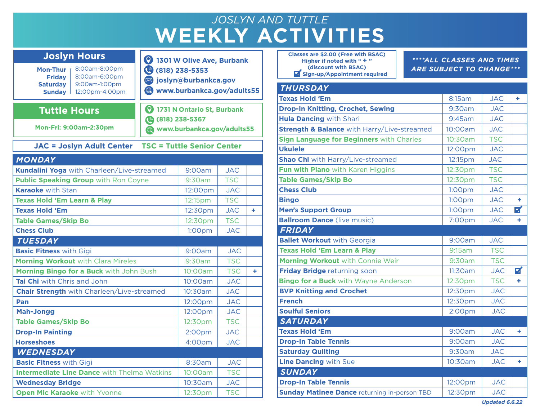## **WEEKLY ACTIVITIES** *JOSLYN AND TUTTLE*

**1301 W Olive Ave, Burbank**

| Mon-Thur<br><b>Fridav</b><br><b>Saturday</b><br>Sunday | 8:00am-8:00pm<br>8:00am-6:00pm<br>9:00am-1:00pm<br>12:00pm-4:00pm | (818) 238-5353<br>soslyn@burbankca.gov<br>www.burbankca.gov/adults55 |                                   |            |   |  |
|--------------------------------------------------------|-------------------------------------------------------------------|----------------------------------------------------------------------|-----------------------------------|------------|---|--|
| <b>Tuttle Hours</b>                                    |                                                                   |                                                                      | 1731 N Ontario St, Burbank        |            |   |  |
|                                                        | <b>Mon-Fri: 9:00am-2:30pm</b>                                     | (818) 238-5367<br>www.burbankca.gov/adults55                         |                                   |            |   |  |
|                                                        | <b>JAC = Joslyn Adult Center</b>                                  |                                                                      | <b>TSC = Tuttle Senior Center</b> |            |   |  |
| <b>MONDAY</b>                                          |                                                                   |                                                                      |                                   |            |   |  |
|                                                        | Kundalini Yoga with Charleen/Live-streamed                        |                                                                      | 9:00am                            | <b>JAC</b> |   |  |
| <b>Public Speaking Group with Ron Coyne</b>            |                                                                   |                                                                      | 9:30am                            | <b>TSC</b> |   |  |
| <b>Karaoke</b> with Stan                               |                                                                   |                                                                      | 12:00pm                           | <b>JAC</b> |   |  |
| <b>Texas Hold 'Em Learn &amp; Play</b>                 |                                                                   |                                                                      | 12:15pm                           | <b>TSC</b> |   |  |
| <b>Texas Hold 'Em</b>                                  |                                                                   |                                                                      | 12:30pm                           | <b>JAC</b> | ٠ |  |
| <b>Table Games/Skip Bo</b>                             |                                                                   |                                                                      | 12:30pm                           | <b>TSC</b> |   |  |
| <b>Chess Club</b>                                      |                                                                   |                                                                      | 1:00 <sub>pm</sub>                | <b>JAC</b> |   |  |
| <b>TUESDAY</b>                                         |                                                                   |                                                                      |                                   |            |   |  |
| <b>Basic Fitness with Gigi</b>                         |                                                                   |                                                                      | 9:00am                            | JAC.       |   |  |
| <b>Morning Workout with Clara Mireles</b>              |                                                                   |                                                                      | 9:30am                            | <b>TSC</b> |   |  |
| Morning Bingo for a Buck with John Bush                |                                                                   |                                                                      | 10:00am                           | <b>TSC</b> | ٠ |  |
| Tai Chi with Chris and John                            |                                                                   |                                                                      | 10:00am                           | <b>JAC</b> |   |  |
| <b>Chair Strength with Charleen/Live-streamed</b>      |                                                                   |                                                                      | 10:30am                           | JAC        |   |  |
| Pan                                                    |                                                                   |                                                                      | 12:00pm                           | <b>JAC</b> |   |  |
| <b>Mah-Jongg</b>                                       |                                                                   |                                                                      | 12:00pm                           | <b>JAC</b> |   |  |
| <b>Table Games/Skip Bo</b>                             |                                                                   |                                                                      | 12:30pm                           | <b>TSC</b> |   |  |
| <b>Drop-In Painting</b>                                |                                                                   |                                                                      | 2:00 <sub>pm</sub>                | <b>JAC</b> |   |  |
| <b>Horseshoes</b>                                      |                                                                   |                                                                      | 4:00pm                            | <b>JAC</b> |   |  |
| <b>WEDNESDAY</b>                                       |                                                                   |                                                                      |                                   |            |   |  |
| <b>Basic Fitness with Gigi</b>                         |                                                                   | 8:30am                                                               | <b>JAC</b>                        |            |   |  |
|                                                        | <b>Intermediate Line Dance with Thelma Watkins</b>                |                                                                      | 10:00am                           | <b>TSC</b> |   |  |
| <b>Wednesday Bridge</b>                                |                                                                   | 10:30am                                                              | <b>JAC</b>                        |            |   |  |
| <b>Open Mic Karaoke with Yvonne</b>                    |                                                                   |                                                                      | 12:30pm                           | <b>TSC</b> |   |  |

Joslyn Hours

| <b>Classes are \$2.00 (Free with BSAC)</b><br>Higher if noted with " $+$ "<br>(discount with BSAC)<br>Sign-up/Appointment required | ****ALL CLASSES AND TIMES<br><b>ARE SUBJECT TO CHANGE***</b> |            |   |
|------------------------------------------------------------------------------------------------------------------------------------|--------------------------------------------------------------|------------|---|
| <b>THURSDAY</b>                                                                                                                    |                                                              |            |   |
| <b>Texas Hold 'Em</b>                                                                                                              | 8:15am                                                       | <b>JAC</b> | ٠ |
| <b>Drop-In Knitting, Crochet, Sewing</b>                                                                                           | 9:30am                                                       | <b>JAC</b> |   |
| <b>Hula Dancing with Shari</b>                                                                                                     | 9:45am                                                       | <b>JAC</b> |   |
| <b>Strength &amp; Balance</b> with Harry/Live-streamed                                                                             | 10:00am                                                      | <b>JAC</b> |   |
| Sign Language for Beginners with Charles                                                                                           | 10:30am                                                      | <b>TSC</b> |   |
| <b>Ukulele</b>                                                                                                                     | 12:00pm                                                      | <b>JAC</b> |   |
| <b>Shao Chi</b> with Harry/Live-streamed                                                                                           | 12:15pm                                                      | <b>JAC</b> |   |
| Fun with Piano with Karen Higgins                                                                                                  | 12:30pm                                                      | <b>TSC</b> |   |
| <b>Table Games/Skip Bo</b>                                                                                                         | 12:30pm                                                      | <b>TSC</b> |   |
| <b>Chess Club</b>                                                                                                                  | 1:00 <sub>pm</sub>                                           | <b>JAC</b> |   |
| <b>Bingo</b>                                                                                                                       | 1:00 <sub>pm</sub>                                           | <b>JAC</b> | ٠ |
| <b>Men's Support Group</b>                                                                                                         | 1:00 <sub>pm</sub>                                           | <b>JAC</b> | 7 |
| <b>Ballroom Dance (live music)</b>                                                                                                 | 7:00pm                                                       | JAC.       | ٠ |
| <b>FRIDAY</b>                                                                                                                      |                                                              |            |   |
| <b>Ballet Workout with Georgia</b>                                                                                                 | 9:00am                                                       | <b>JAC</b> |   |
| <b>Texas Hold 'Em Learn &amp; Play</b>                                                                                             | 9:15am                                                       | <b>TSC</b> |   |
| Morning Workout with Connie Weir                                                                                                   | 9:30am                                                       | <b>TSC</b> |   |
| Friday Bridge returning soon                                                                                                       | 11:30am                                                      | <b>JAC</b> | Z |
| <b>Bingo for a Buck with Wayne Anderson</b>                                                                                        | 12:30pm                                                      | <b>TSC</b> | ٠ |
| <b>BVP Knitting and Crochet</b>                                                                                                    | 12:30pm                                                      | <b>JAC</b> |   |
| <b>French</b>                                                                                                                      | 12:30pm                                                      | <b>JAC</b> |   |
| <b>Soulful Seniors</b>                                                                                                             | 2:00pm                                                       | <b>JAC</b> |   |
| <b>SATURDAY</b>                                                                                                                    |                                                              |            |   |
| <b>Texas Hold 'Em</b>                                                                                                              | 9:00am                                                       | <b>JAC</b> | ٠ |
| <b>Drop-In Table Tennis</b>                                                                                                        | 9:00am                                                       | <b>JAC</b> |   |
| <b>Saturday Quilting</b>                                                                                                           | 9:30am                                                       | JAC.       |   |
| <b>Line Dancing with Sue</b>                                                                                                       | 10:30am                                                      | <b>JAC</b> | ٠ |
| <b>SUNDAY</b>                                                                                                                      |                                                              |            |   |
| <b>Drop-In Table Tennis</b>                                                                                                        | 12:00pm                                                      | <b>JAC</b> |   |
| <b>Sunday Matinee Dance returning in-person TBD</b>                                                                                | 12:30pm                                                      | <b>JAC</b> |   |